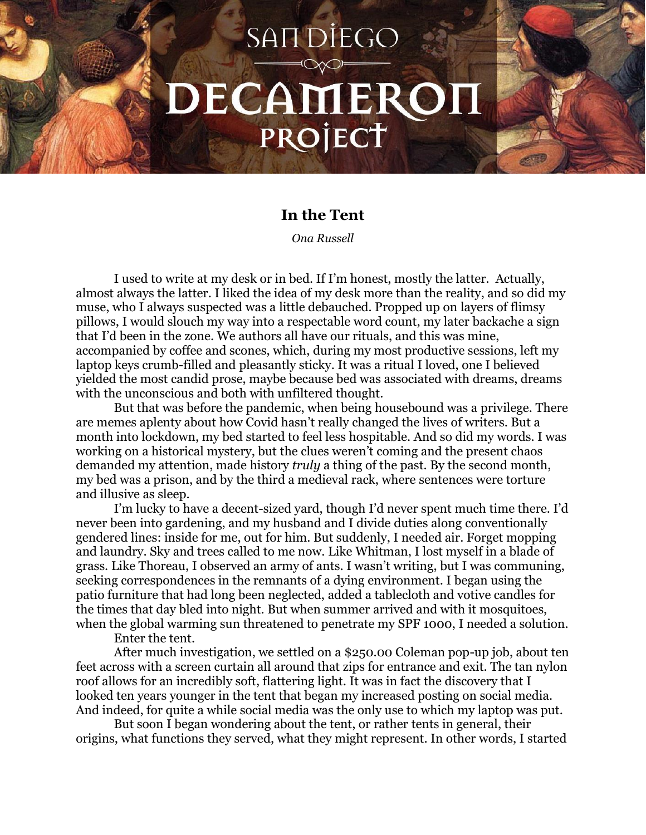## **SANDIEGO** DECAMEROH PROJECT

## **In the Tent**

*Ona Russell*

I used to write at my desk or in bed. If I'm honest, mostly the latter. Actually, almost always the latter. I liked the idea of my desk more than the reality, and so did my muse, who I always suspected was a little debauched. Propped up on layers of flimsy pillows, I would slouch my way into a respectable word count, my later backache a sign that I'd been in the zone. We authors all have our rituals, and this was mine, accompanied by coffee and scones, which, during my most productive sessions, left my laptop keys crumb-filled and pleasantly sticky. It was a ritual I loved, one I believed yielded the most candid prose, maybe because bed was associated with dreams, dreams with the unconscious and both with unfiltered thought.

But that was before the pandemic, when being housebound was a privilege. There are memes aplenty about how Covid hasn't really changed the lives of writers. But a month into lockdown, my bed started to feel less hospitable. And so did my words. I was working on a historical mystery, but the clues weren't coming and the present chaos demanded my attention, made history *truly* a thing of the past. By the second month, my bed was a prison, and by the third a medieval rack, where sentences were torture and illusive as sleep.

I'm lucky to have a decent-sized yard, though I'd never spent much time there. I'd never been into gardening, and my husband and I divide duties along conventionally gendered lines: inside for me, out for him. But suddenly, I needed air. Forget mopping and laundry. Sky and trees called to me now. Like Whitman, I lost myself in a blade of grass. Like Thoreau, I observed an army of ants. I wasn't writing, but I was communing, seeking correspondences in the remnants of a dying environment. I began using the patio furniture that had long been neglected, added a tablecloth and votive candles for the times that day bled into night. But when summer arrived and with it mosquitoes, when the global warming sun threatened to penetrate my SPF 1000, I needed a solution.

Enter the tent.

After much investigation, we settled on a \$250.00 Coleman pop-up job, about ten feet across with a screen curtain all around that zips for entrance and exit. The tan nylon roof allows for an incredibly soft, flattering light. It was in fact the discovery that I looked ten years younger in the tent that began my increased posting on social media. And indeed, for quite a while social media was the only use to which my laptop was put.

But soon I began wondering about the tent, or rather tents in general, their origins, what functions they served, what they might represent. In other words, I started